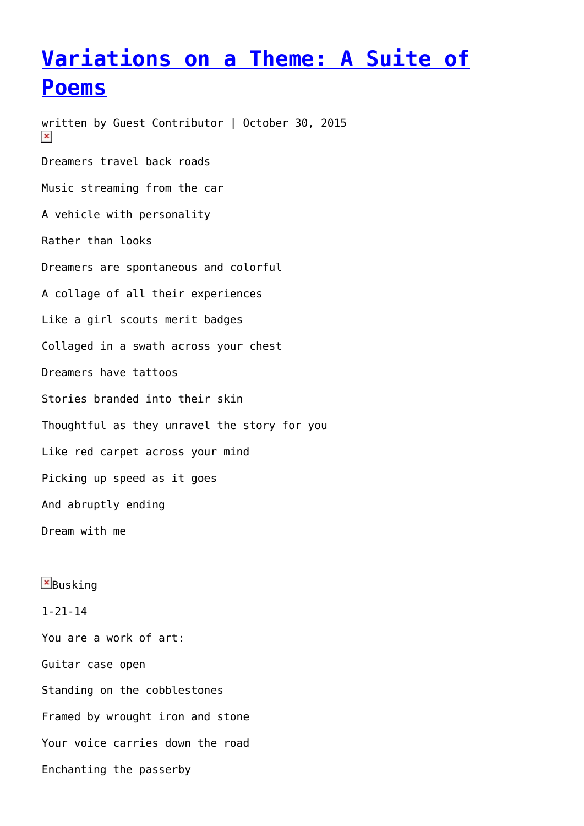## **[Variations on a Theme: A Suite of](https://entropymag.org/variations-on-a-theme-a-suite-of-poems-3/) [Poems](https://entropymag.org/variations-on-a-theme-a-suite-of-poems-3/)**

written by Guest Contributor | October 30, 2015  $\pmb{\times}$ Dreamers travel back roads Music streaming from the car A vehicle with personality Rather than looks Dreamers are spontaneous and colorful A collage of all their experiences Like a girl scouts merit badges Collaged in a swath across your chest Dreamers have tattoos Stories branded into their skin Thoughtful as they unravel the story for you Like red carpet across your mind Picking up speed as it goes And abruptly ending Dream with me

 $B$ usking 1-21-14 You are a work of art: Guitar case open Standing on the cobblestones Framed by wrought iron and stone Your voice carries down the road Enchanting the passerby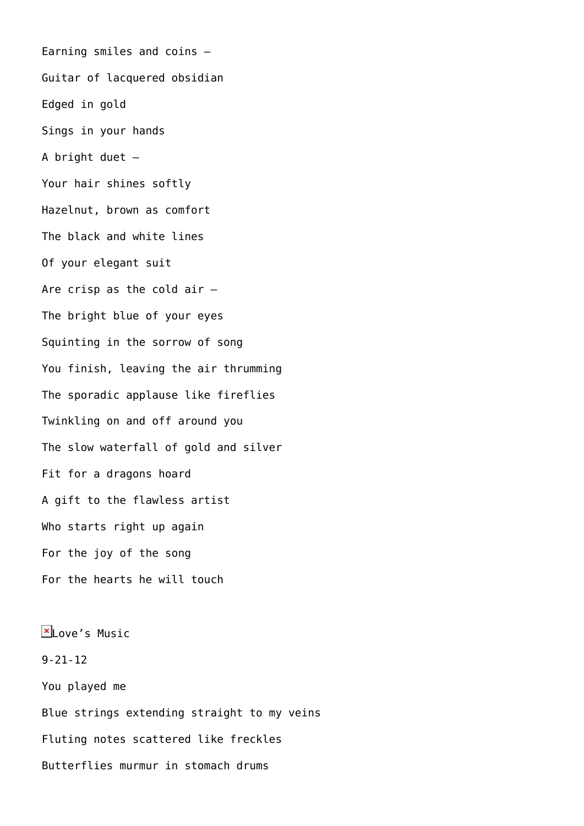Earning smiles and coins – Guitar of lacquered obsidian Edged in gold Sings in your hands A bright duet – Your hair shines softly Hazelnut, brown as comfort The black and white lines Of your elegant suit Are crisp as the cold air – The bright blue of your eyes Squinting in the sorrow of song You finish, leaving the air thrumming The sporadic applause like fireflies Twinkling on and off around you The slow waterfall of gold and silver Fit for a dragons hoard A gift to the flawless artist Who starts right up again For the joy of the song For the hearts he will touch

 $x_{\text{Love's Music}}$ 9-21-12 You played me Blue strings extending straight to my veins Fluting notes scattered like freckles Butterflies murmur in stomach drums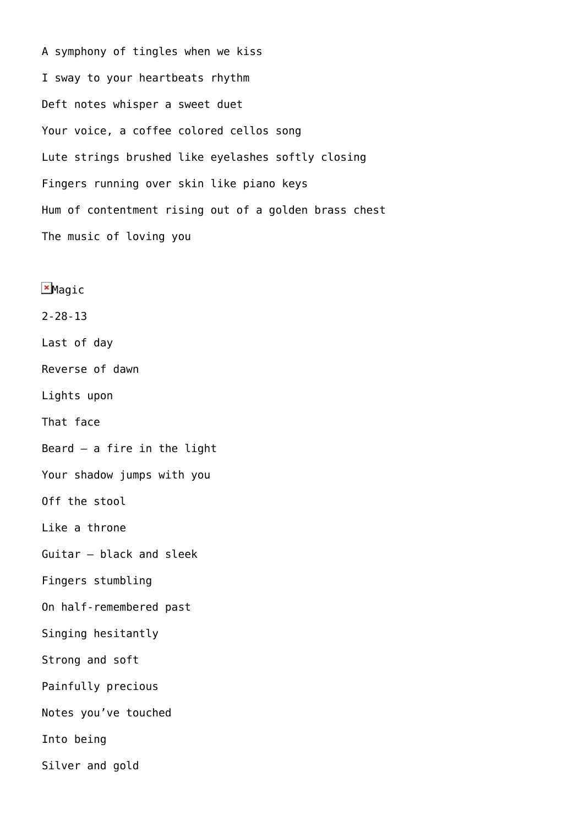A symphony of tingles when we kiss I sway to your heartbeats rhythm Deft notes whisper a sweet duet Your voice, a coffee colored cellos song Lute strings brushed like eyelashes softly closing Fingers running over skin like piano keys Hum of contentment rising out of a golden brass chest The music of loving you

**E**Magic 2-28-13 Last of day Reverse of dawn Lights upon That face Beard  $-$  a fire in the light Your shadow jumps with you Off the stool Like a throne Guitar – black and sleek Fingers stumbling On half-remembered past Singing hesitantly Strong and soft Painfully precious Notes you've touched Into being Silver and gold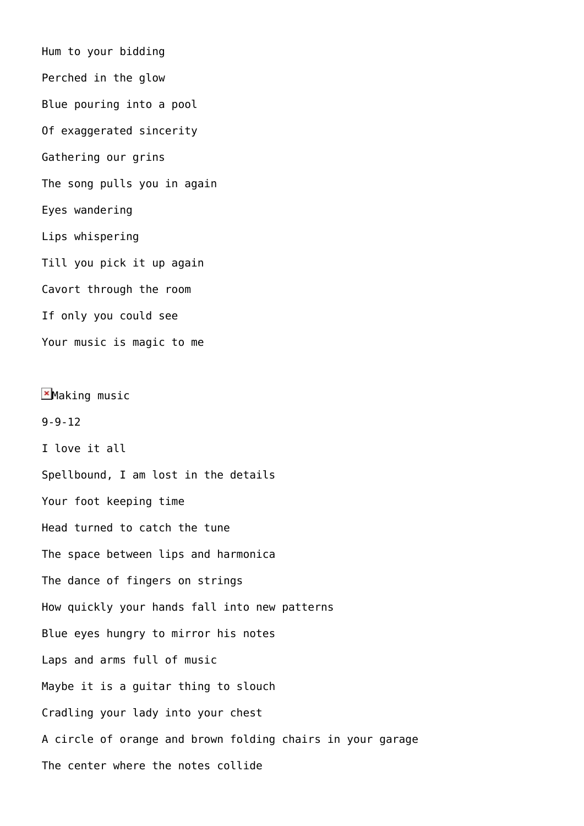Hum to your bidding Perched in the glow Blue pouring into a pool Of exaggerated sincerity Gathering our grins The song pulls you in again Eyes wandering Lips whispering Till you pick it up again Cavort through the room If only you could see Your music is magic to me  $M$ Making music 9-9-12 I love it all Spellbound, I am lost in the details Your foot keeping time Head turned to catch the tune The space between lips and harmonica The dance of fingers on strings How quickly your hands fall into new patterns Blue eyes hungry to mirror his notes

Laps and arms full of music

Maybe it is a guitar thing to slouch

Cradling your lady into your chest

A circle of orange and brown folding chairs in your garage

The center where the notes collide